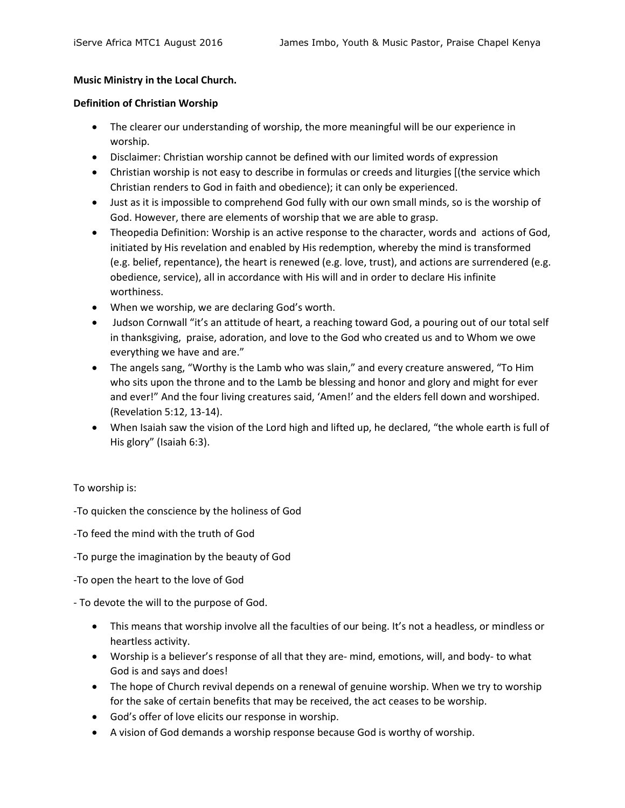## **Music Ministry in the Local Church.**

### **Definition of Christian Worship**

- The clearer our understanding of worship, the more meaningful will be our experience in worship.
- Disclaimer: Christian worship cannot be defined with our limited words of expression
- Christian worship is not easy to describe in formulas or creeds and liturgies [(the service which Christian renders to God in faith and obedience); it can only be experienced.
- Just as it is impossible to comprehend God fully with our own small minds, so is the worship of God. However, there are elements of worship that we are able to grasp.
- Theopedia Definition: Worship is an active response to the character, words and actions of God, initiated by His revelation and enabled by His redemption, whereby the mind is transformed (e.g. belief, repentance), the heart is renewed (e.g. love, trust), and actions are surrendered (e.g. obedience, service), all in accordance with His will and in order to declare His infinite worthiness.
- When we worship, we are declaring God's worth.
- Judson Cornwall "it's an attitude of heart, a reaching toward God, a pouring out of our total self in thanksgiving, praise, adoration, and love to the God who created us and to Whom we owe everything we have and are."
- The angels sang, "Worthy is the Lamb who was slain," and every creature answered, "To Him who sits upon the throne and to the Lamb be blessing and honor and glory and might for ever and ever!" And the four living creatures said, 'Amen!' and the elders fell down and worshiped. (Revelation 5:12, 13-14).
- When Isaiah saw the vision of the Lord high and lifted up, he declared, "the whole earth is full of His glory" (Isaiah 6:3).

To worship is:

-To quicken the conscience by the holiness of God

-To feed the mind with the truth of God

-To purge the imagination by the beauty of God

-To open the heart to the love of God

- To devote the will to the purpose of God.

- This means that worship involve all the faculties of our being. It's not a headless, or mindless or heartless activity.
- Worship is a believer's response of all that they are- mind, emotions, will, and body- to what God is and says and does!
- The hope of Church revival depends on a renewal of genuine worship. When we try to worship for the sake of certain benefits that may be received, the act ceases to be worship.
- God's offer of love elicits our response in worship.
- A vision of God demands a worship response because God is worthy of worship.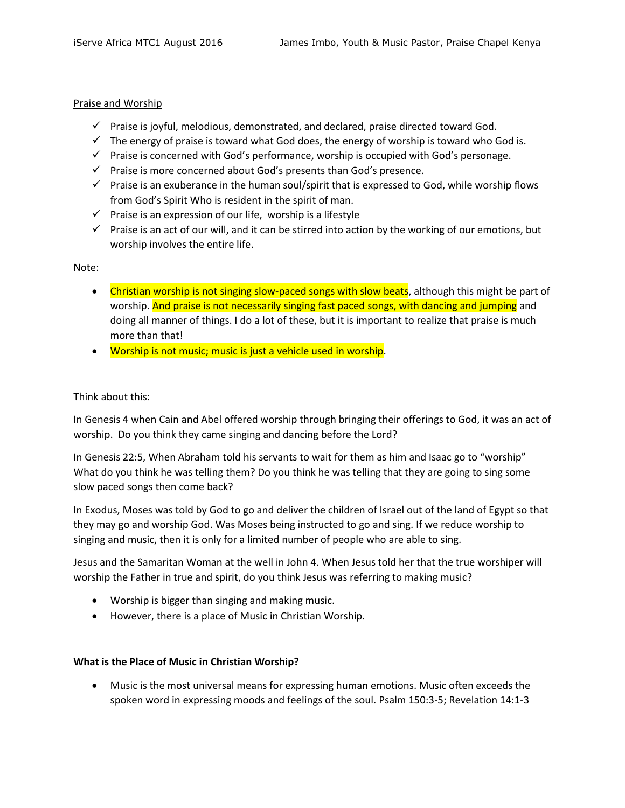### Praise and Worship

- $\checkmark$  Praise is joyful, melodious, demonstrated, and declared, praise directed toward God.
- $\checkmark$  The energy of praise is toward what God does, the energy of worship is toward who God is.
- $\checkmark$  Praise is concerned with God's performance, worship is occupied with God's personage.
- $\checkmark$  Praise is more concerned about God's presents than God's presence.
- $\checkmark$  Praise is an exuberance in the human soul/spirit that is expressed to God, while worship flows from God's Spirit Who is resident in the spirit of man.
- $\checkmark$  Praise is an expression of our life, worship is a lifestyle
- $\checkmark$  Praise is an act of our will, and it can be stirred into action by the working of our emotions, but worship involves the entire life.

Note:

- Christian worship is not singing slow-paced songs with slow beats, although this might be part of worship. And praise is not necessarily singing fast paced songs, with dancing and jumping and doing all manner of things. I do a lot of these, but it is important to realize that praise is much more than that!
- Worship is not music; music is just a vehicle used in worship.

## Think about this:

In Genesis 4 when Cain and Abel offered worship through bringing their offerings to God, it was an act of worship. Do you think they came singing and dancing before the Lord?

In Genesis 22:5, When Abraham told his servants to wait for them as him and Isaac go to "worship" What do you think he was telling them? Do you think he was telling that they are going to sing some slow paced songs then come back?

In Exodus, Moses was told by God to go and deliver the children of Israel out of the land of Egypt so that they may go and worship God. Was Moses being instructed to go and sing. If we reduce worship to singing and music, then it is only for a limited number of people who are able to sing.

Jesus and the Samaritan Woman at the well in John 4. When Jesus told her that the true worshiper will worship the Father in true and spirit, do you think Jesus was referring to making music?

- Worship is bigger than singing and making music.
- However, there is a place of Music in Christian Worship.

# **What is the Place of Music in Christian Worship?**

 Music is the most universal means for expressing human emotions. Music often exceeds the spoken word in expressing moods and feelings of the soul. Psalm 150:3-5; Revelation 14:1-3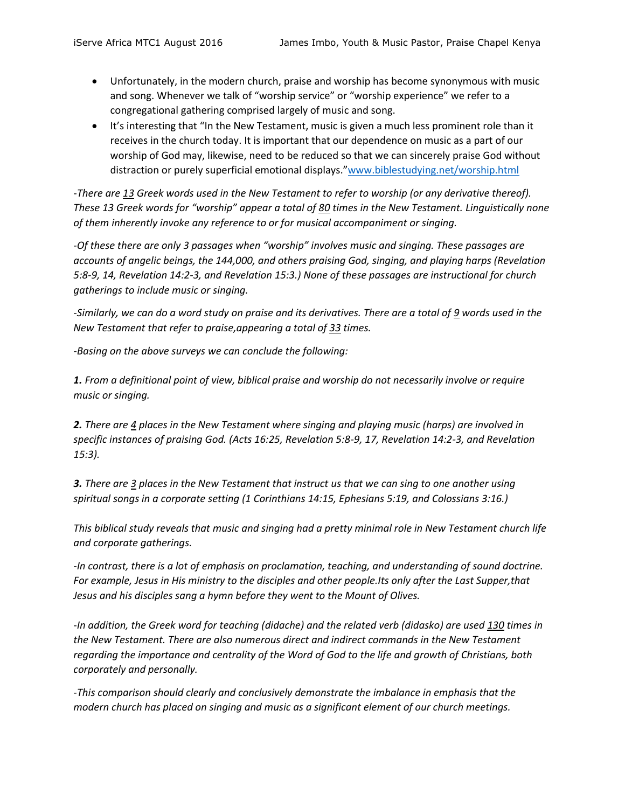- Unfortunately, in the modern church, praise and worship has become synonymous with music and song. Whenever we talk of "worship service" or "worship experience" we refer to a congregational gathering comprised largely of music and song.
- It's interesting that "In the New Testament, music is given a much less prominent role than it receives in the church today. It is important that our dependence on music as a part of our worship of God may, likewise, need to be reduced so that we can sincerely praise God without distraction or purely superficial emotional displays."[www.biblestudying.net/worship.html](http://www.biblestudying.net/worship.html)

*-There are 13 Greek words used in the New Testament to refer to worship (or any derivative thereof). These 13 Greek words for "worship" appear a total of 80 times in the New Testament. Linguistically none of them inherently invoke any reference to or for musical accompaniment or singing.*

*-Of these there are only 3 passages when "worship" involves music and singing. These passages are accounts of angelic beings, the 144,000, and others praising God, singing, and playing harps (Revelation 5:8-9, 14, Revelation 14:2-3, and Revelation 15:3.) None of these passages are instructional for church gatherings to include music or singing.*

*-Similarly, we can do a word study on praise and its derivatives. There are a total of 9 words used in the New Testament that refer to praise,appearing a total of 33 times.*

*-Basing on the above surveys we can conclude the following:*

**1.** From a definitional point of view, biblical praise and worship do not necessarily involve or require *music or singing.*

*2. There are 4 places in the New Testament where singing and playing music (harps) are involved in specific instances of praising God. (Acts 16:25, Revelation 5:8-9, 17, Revelation 14:2-3, and Revelation 15:3).*

*3. There are 3 places in the New Testament that instruct us that we can sing to one another using spiritual songs in a corporate setting (1 Corinthians 14:15, Ephesians 5:19, and Colossians 3:16.)*

*This biblical study reveals that music and singing had a pretty minimal role in New Testament church life and corporate gatherings.*

*-In contrast, there is a lot of emphasis on proclamation, teaching, and understanding of sound doctrine. For example, Jesus in His ministry to the disciples and other people.Its only after the Last Supper,that Jesus and his disciples sang a hymn before they went to the Mount of Olives.*

*-In addition, the Greek word for teaching (didache) and the related verb (didasko) are used 130 times in the New Testament. There are also numerous direct and indirect commands in the New Testament regarding the importance and centrality of the Word of God to the life and growth of Christians, both corporately and personally.* 

*-This comparison should clearly and conclusively demonstrate the imbalance in emphasis that the modern church has placed on singing and music as a significant element of our church meetings.*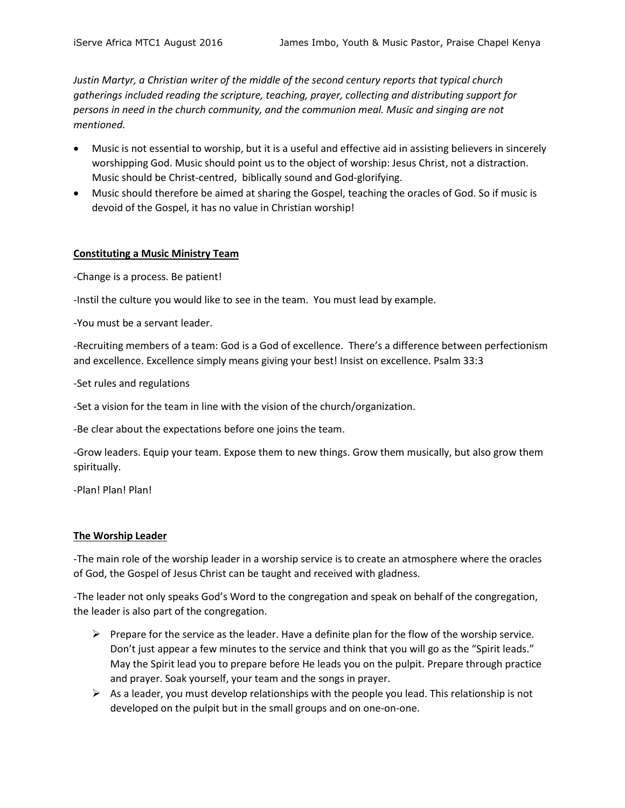*Justin Martyr, a Christian writer of the middle of the second century reports that typical church gatherings included reading the scripture, teaching, prayer, collecting and distributing support for persons in need in the church community, and the communion meal. Music and singing are not mentioned.*

- Music is not essential to worship, but it is a useful and effective aid in assisting believers in sincerely worshipping God. Music should point us to the object of worship: Jesus Christ, not a distraction. Music should be Christ-centred, biblically sound and God-glorifying.
- Music should therefore be aimed at sharing the Gospel, teaching the oracles of God. So if music is devoid of the Gospel, it has no value in Christian worship!

## **Constituting a Music Ministry Team**

-Change is a process. Be patient!

-Instil the culture you would like to see in the team. You must lead by example.

-You must be a servant leader.

-Recruiting members of a team: God is a God of excellence. There's a difference between perfectionism and excellence. Excellence simply means giving your best! Insist on excellence. Psalm 33:3

-Set rules and regulations

-Set a vision for the team in line with the vision of the church/organization.

-Be clear about the expectations before one joins the team.

-Grow leaders. Equip your team. Expose them to new things. Grow them musically, but also grow them spiritually.

-Plan! Plan! Plan!

#### **The Worship Leader**

-The main role of the worship leader in a worship service is to create an atmosphere where the oracles of God, the Gospel of Jesus Christ can be taught and received with gladness.

-The leader not only speaks God's Word to the congregation and speak on behalf of the congregation, the leader is also part of the congregation.

- $\triangleright$  Prepare for the service as the leader. Have a definite plan for the flow of the worship service. Don't just appear a few minutes to the service and think that you will go as the "Spirit leads." May the Spirit lead you to prepare before He leads you on the pulpit. Prepare through practice and prayer. Soak yourself, your team and the songs in prayer.
- $\triangleright$  As a leader, you must develop relationships with the people you lead. This relationship is not developed on the pulpit but in the small groups and on one-on-one.